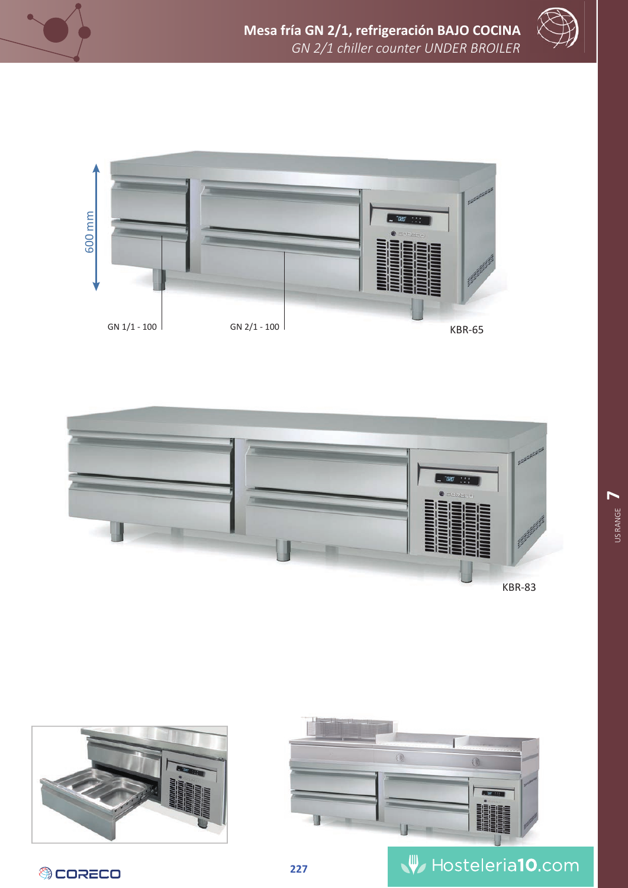









**OCORECO** 



## **227 w** Hosteleria10.com